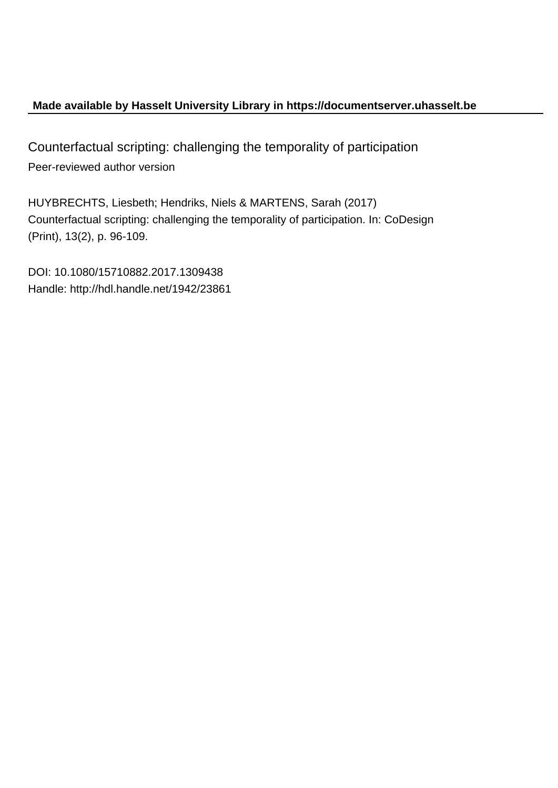## **Made available by Hasselt University Library in https://documentserver.uhasselt.be**

Counterfactual scripting: challenging the temporality of participation Peer-reviewed author version

HUYBRECHTS, Liesbeth; Hendriks, Niels & MARTENS, Sarah (2017) Counterfactual scripting: challenging the temporality of participation. In: CoDesign (Print), 13(2), p. 96-109.

DOI: 10.1080/15710882.2017.1309438 Handle: http://hdl.handle.net/1942/23861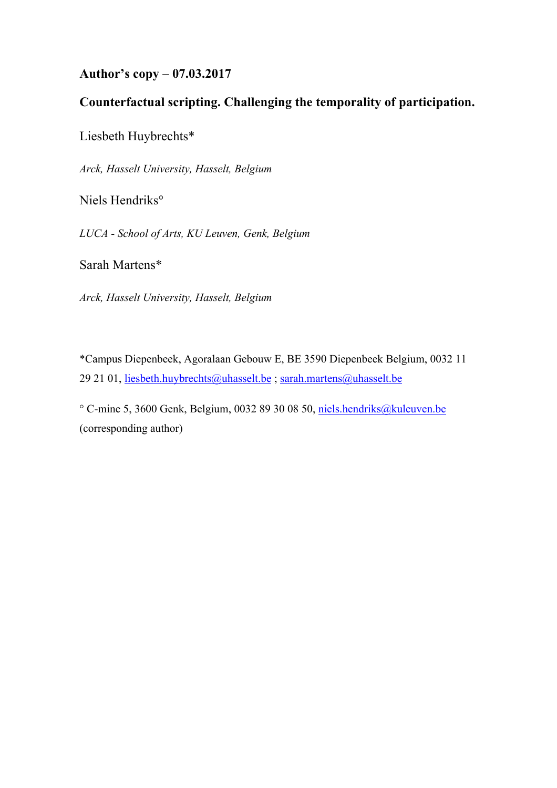# **Author's copy – 07.03.2017**

# **Counterfactual scripting. Challenging the temporality of participation.**

Liesbeth Huybrechts\*

*Arck, Hasselt University, Hasselt, Belgium*

Niels Hendriks°

*LUCA - School of Arts, KU Leuven, Genk, Belgium*

Sarah Martens\*

*Arck, Hasselt University, Hasselt, Belgium*

\*Campus Diepenbeek, Agoralaan Gebouw E, BE 3590 Diepenbeek Belgium, 0032 11 29 21 01, liesbeth.huybrechts@uhasselt.be ; sarah.martens@uhasselt.be

° C-mine 5, 3600 Genk, Belgium, 0032 89 30 08 50, niels.hendriks@kuleuven.be (corresponding author)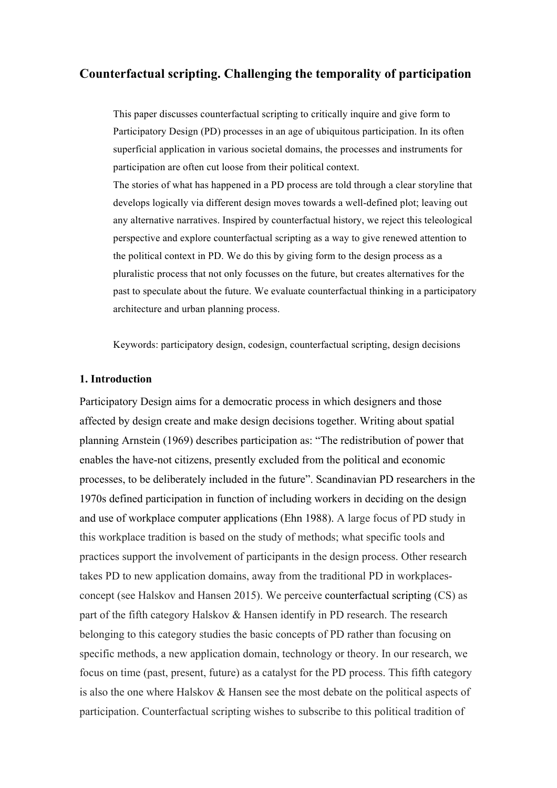## **Counterfactual scripting. Challenging the temporality of participation**

This paper discusses counterfactual scripting to critically inquire and give form to Participatory Design (PD) processes in an age of ubiquitous participation. In its often superficial application in various societal domains, the processes and instruments for participation are often cut loose from their political context.

The stories of what has happened in a PD process are told through a clear storyline that develops logically via different design moves towards a well-defined plot; leaving out any alternative narratives. Inspired by counterfactual history, we reject this teleological perspective and explore counterfactual scripting as a way to give renewed attention to the political context in PD. We do this by giving form to the design process as a pluralistic process that not only focusses on the future, but creates alternatives for the past to speculate about the future. We evaluate counterfactual thinking in a participatory architecture and urban planning process.

Keywords: participatory design, codesign, counterfactual scripting, design decisions

### **1. Introduction**

Participatory Design aims for a democratic process in which designers and those affected by design create and make design decisions together. Writing about spatial planning Arnstein (1969) describes participation as: "The redistribution of power that enables the have-not citizens, presently excluded from the political and economic processes, to be deliberately included in the future". Scandinavian PD researchers in the 1970s defined participation in function of including workers in deciding on the design and use of workplace computer applications (Ehn 1988). A large focus of PD study in this workplace tradition is based on the study of methods; what specific tools and practices support the involvement of participants in the design process. Other research takes PD to new application domains, away from the traditional PD in workplacesconcept (see Halskov and Hansen 2015). We perceive counterfactual scripting (CS) as part of the fifth category Halskov & Hansen identify in PD research. The research belonging to this category studies the basic concepts of PD rather than focusing on specific methods, a new application domain, technology or theory. In our research, we focus on time (past, present, future) as a catalyst for the PD process. This fifth category is also the one where Halskov & Hansen see the most debate on the political aspects of participation. Counterfactual scripting wishes to subscribe to this political tradition of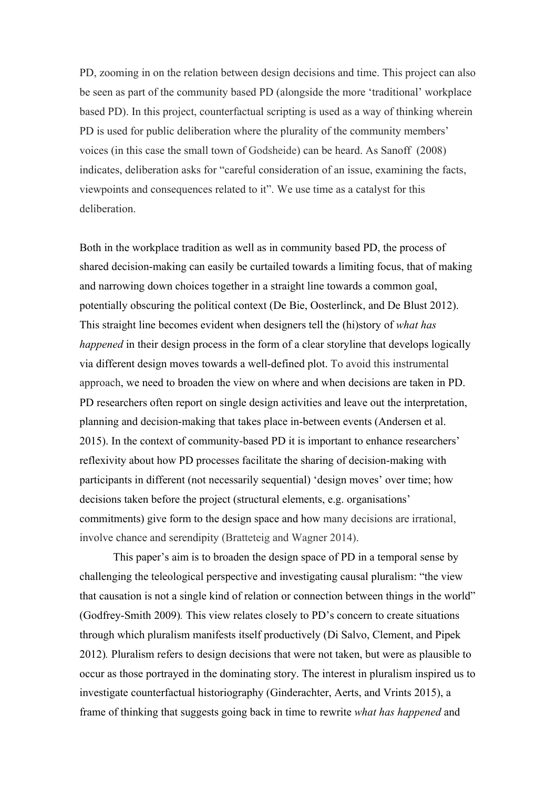PD, zooming in on the relation between design decisions and time. This project can also be seen as part of the community based PD (alongside the more 'traditional' workplace based PD). In this project, counterfactual scripting is used as a way of thinking wherein PD is used for public deliberation where the plurality of the community members' voices (in this case the small town of Godsheide) can be heard. As Sanoff (2008) indicates, deliberation asks for "careful consideration of an issue, examining the facts, viewpoints and consequences related to it". We use time as a catalyst for this deliberation.

Both in the workplace tradition as well as in community based PD, the process of shared decision-making can easily be curtailed towards a limiting focus, that of making and narrowing down choices together in a straight line towards a common goal, potentially obscuring the political context (De Bie, Oosterlinck, and De Blust 2012). This straight line becomes evident when designers tell the (hi)story of *what has happened* in their design process in the form of a clear storyline that develops logically via different design moves towards a well-defined plot. To avoid this instrumental approach, we need to broaden the view on where and when decisions are taken in PD. PD researchers often report on single design activities and leave out the interpretation, planning and decision-making that takes place in-between events (Andersen et al. 2015). In the context of community-based PD it is important to enhance researchers' reflexivity about how PD processes facilitate the sharing of decision-making with participants in different (not necessarily sequential) 'design moves' over time; how decisions taken before the project (structural elements, e.g. organisations' commitments) give form to the design space and how many decisions are irrational, involve chance and serendipity (Bratteteig and Wagner 2014).

This paper's aim is to broaden the design space of PD in a temporal sense by challenging the teleological perspective and investigating causal pluralism: "the view that causation is not a single kind of relation or connection between things in the world" (Godfrey-Smith 2009)*.* This view relates closely to PD's concern to create situations through which pluralism manifests itself productively (Di Salvo, Clement, and Pipek 2012)*.* Pluralism refers to design decisions that were not taken, but were as plausible to occur as those portrayed in the dominating story. The interest in pluralism inspired us to investigate counterfactual historiography (Ginderachter, Aerts, and Vrints 2015), a frame of thinking that suggests going back in time to rewrite *what has happened* and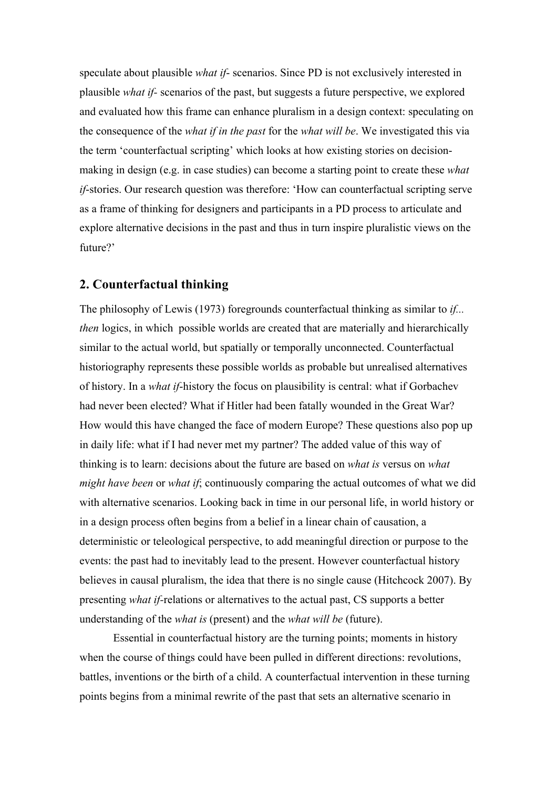speculate about plausible *what if*- scenarios. Since PD is not exclusively interested in plausible *what if-* scenarios of the past, but suggests a future perspective, we explored and evaluated how this frame can enhance pluralism in a design context: speculating on the consequence of the *what if in the past* for the *what will be*. We investigated this via the term 'counterfactual scripting' which looks at how existing stories on decisionmaking in design (e.g. in case studies) can become a starting point to create these *what if*-stories. Our research question was therefore: 'How can counterfactual scripting serve as a frame of thinking for designers and participants in a PD process to articulate and explore alternative decisions in the past and thus in turn inspire pluralistic views on the future?'

## **2. Counterfactual thinking**

The philosophy of Lewis (1973) foregrounds counterfactual thinking as similar to *if... then* logics, in which possible worlds are created that are materially and hierarchically similar to the actual world, but spatially or temporally unconnected. Counterfactual historiography represents these possible worlds as probable but unrealised alternatives of history. In a *what if*-history the focus on plausibility is central: what if Gorbachev had never been elected? What if Hitler had been fatally wounded in the Great War? How would this have changed the face of modern Europe? These questions also pop up in daily life: what if I had never met my partner? The added value of this way of thinking is to learn: decisions about the future are based on *what is* versus on *what might have been* or *what if*; continuously comparing the actual outcomes of what we did with alternative scenarios. Looking back in time in our personal life, in world history or in a design process often begins from a belief in a linear chain of causation, a deterministic or teleological perspective, to add meaningful direction or purpose to the events: the past had to inevitably lead to the present. However counterfactual history believes in causal pluralism, the idea that there is no single cause (Hitchcock 2007). By presenting *what if-*relations or alternatives to the actual past, CS supports a better understanding of the *what is* (present) and the *what will be* (future).

Essential in counterfactual history are the turning points; moments in history when the course of things could have been pulled in different directions: revolutions, battles, inventions or the birth of a child. A counterfactual intervention in these turning points begins from a minimal rewrite of the past that sets an alternative scenario in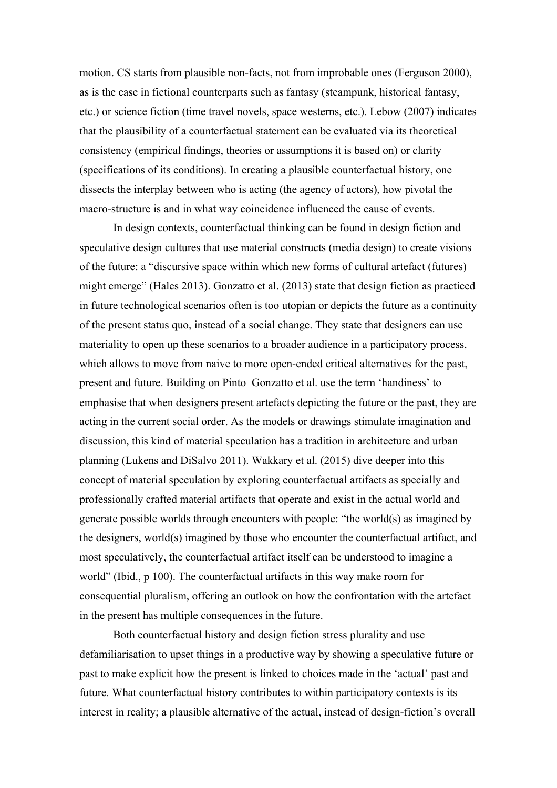motion. CS starts from plausible non-facts, not from improbable ones (Ferguson 2000), as is the case in fictional counterparts such as fantasy (steampunk, historical fantasy, etc.) or science fiction (time travel novels, space westerns, etc.). Lebow (2007) indicates that the plausibility of a counterfactual statement can be evaluated via its theoretical consistency (empirical findings, theories or assumptions it is based on) or clarity (specifications of its conditions). In creating a plausible counterfactual history, one dissects the interplay between who is acting (the agency of actors), how pivotal the macro-structure is and in what way coincidence influenced the cause of events.

In design contexts, counterfactual thinking can be found in design fiction and speculative design cultures that use material constructs (media design) to create visions of the future: a "discursive space within which new forms of cultural artefact (futures) might emerge" (Hales 2013). Gonzatto et al. (2013) state that design fiction as practiced in future technological scenarios often is too utopian or depicts the future as a continuity of the present status quo, instead of a social change. They state that designers can use materiality to open up these scenarios to a broader audience in a participatory process, which allows to move from naive to more open-ended critical alternatives for the past, present and future. Building on Pinto Gonzatto et al. use the term 'handiness' to emphasise that when designers present artefacts depicting the future or the past, they are acting in the current social order. As the models or drawings stimulate imagination and discussion, this kind of material speculation has a tradition in architecture and urban planning (Lukens and DiSalvo 2011). Wakkary et al. (2015) dive deeper into this concept of material speculation by exploring counterfactual artifacts as specially and professionally crafted material artifacts that operate and exist in the actual world and generate possible worlds through encounters with people: "the world(s) as imagined by the designers, world(s) imagined by those who encounter the counterfactual artifact, and most speculatively, the counterfactual artifact itself can be understood to imagine a world" (Ibid., p 100). The counterfactual artifacts in this way make room for consequential pluralism, offering an outlook on how the confrontation with the artefact in the present has multiple consequences in the future.

Both counterfactual history and design fiction stress plurality and use defamiliarisation to upset things in a productive way by showing a speculative future or past to make explicit how the present is linked to choices made in the 'actual' past and future. What counterfactual history contributes to within participatory contexts is its interest in reality; a plausible alternative of the actual, instead of design-fiction's overall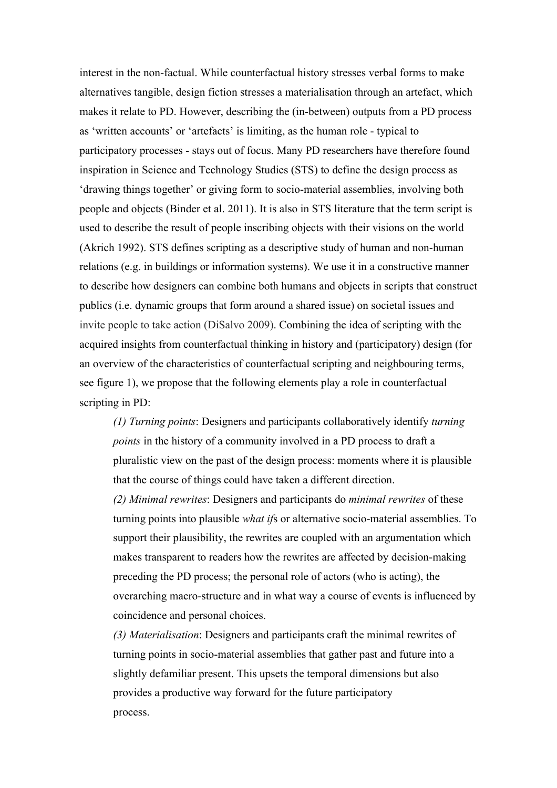interest in the non-factual. While counterfactual history stresses verbal forms to make alternatives tangible, design fiction stresses a materialisation through an artefact, which makes it relate to PD. However, describing the (in-between) outputs from a PD process as 'written accounts' or 'artefacts' is limiting, as the human role - typical to participatory processes - stays out of focus. Many PD researchers have therefore found inspiration in Science and Technology Studies (STS) to define the design process as 'drawing things together' or giving form to socio-material assemblies, involving both people and objects (Binder et al. 2011). It is also in STS literature that the term script is used to describe the result of people inscribing objects with their visions on the world (Akrich 1992). STS defines scripting as a descriptive study of human and non-human relations (e.g. in buildings or information systems). We use it in a constructive manner to describe how designers can combine both humans and objects in scripts that construct publics (i.e. dynamic groups that form around a shared issue) on societal issues and invite people to take action (DiSalvo 2009). Combining the idea of scripting with the acquired insights from counterfactual thinking in history and (participatory) design (for an overview of the characteristics of counterfactual scripting and neighbouring terms, see figure 1), we propose that the following elements play a role in counterfactual scripting in PD:

*(1) Turning points*: Designers and participants collaboratively identify *turning points* in the history of a community involved in a PD process to draft a pluralistic view on the past of the design process: moments where it is plausible that the course of things could have taken a different direction.

*(2) Minimal rewrites*: Designers and participants do *minimal rewrites* of these turning points into plausible *what if*s or alternative socio-material assemblies. To support their plausibility, the rewrites are coupled with an argumentation which makes transparent to readers how the rewrites are affected by decision-making preceding the PD process; the personal role of actors (who is acting), the overarching macro-structure and in what way a course of events is influenced by coincidence and personal choices.

*(3) Materialisation*: Designers and participants craft the minimal rewrites of turning points in socio-material assemblies that gather past and future into a slightly defamiliar present. This upsets the temporal dimensions but also provides a productive way forward for the future participatory process.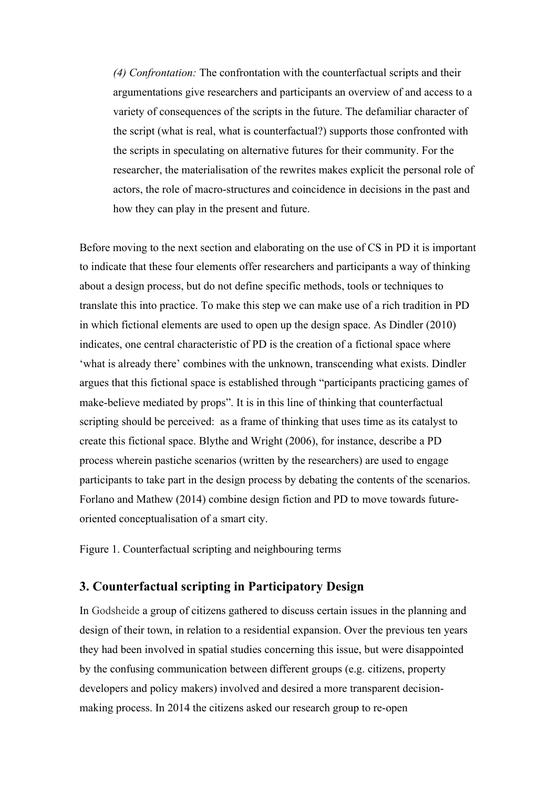*(4) Confrontation:* The confrontation with the counterfactual scripts and their argumentations give researchers and participants an overview of and access to a variety of consequences of the scripts in the future. The defamiliar character of the script (what is real, what is counterfactual?) supports those confronted with the scripts in speculating on alternative futures for their community. For the researcher, the materialisation of the rewrites makes explicit the personal role of actors, the role of macro-structures and coincidence in decisions in the past and how they can play in the present and future.

Before moving to the next section and elaborating on the use of CS in PD it is important to indicate that these four elements offer researchers and participants a way of thinking about a design process, but do not define specific methods, tools or techniques to translate this into practice. To make this step we can make use of a rich tradition in PD in which fictional elements are used to open up the design space. As Dindler (2010) indicates, one central characteristic of PD is the creation of a fictional space where 'what is already there' combines with the unknown, transcending what exists. Dindler argues that this fictional space is established through "participants practicing games of make-believe mediated by props". It is in this line of thinking that counterfactual scripting should be perceived: as a frame of thinking that uses time as its catalyst to create this fictional space. Blythe and Wright (2006), for instance, describe a PD process wherein pastiche scenarios (written by the researchers) are used to engage participants to take part in the design process by debating the contents of the scenarios. Forlano and Mathew (2014) combine design fiction and PD to move towards futureoriented conceptualisation of a smart city.

Figure 1. Counterfactual scripting and neighbouring terms

## **3. Counterfactual scripting in Participatory Design**

In Godsheide a group of citizens gathered to discuss certain issues in the planning and design of their town, in relation to a residential expansion. Over the previous ten years they had been involved in spatial studies concerning this issue, but were disappointed by the confusing communication between different groups (e.g. citizens, property developers and policy makers) involved and desired a more transparent decisionmaking process. In 2014 the citizens asked our research group to re-open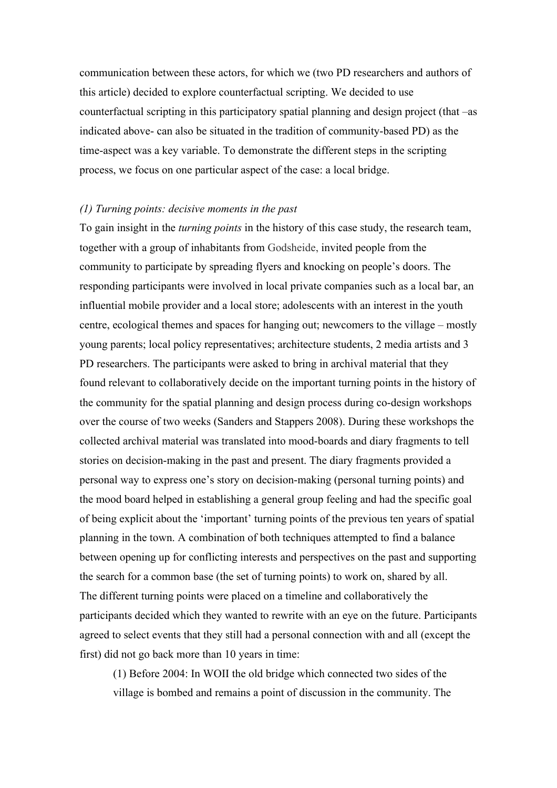communication between these actors, for which we (two PD researchers and authors of this article) decided to explore counterfactual scripting. We decided to use counterfactual scripting in this participatory spatial planning and design project (that –as indicated above- can also be situated in the tradition of community-based PD) as the time-aspect was a key variable. To demonstrate the different steps in the scripting process, we focus on one particular aspect of the case: a local bridge.

#### *(1) Turning points: decisive moments in the past*

To gain insight in the *turning points* in the history of this case study, the research team, together with a group of inhabitants from Godsheide, invited people from the community to participate by spreading flyers and knocking on people's doors. The responding participants were involved in local private companies such as a local bar, an influential mobile provider and a local store; adolescents with an interest in the youth centre, ecological themes and spaces for hanging out; newcomers to the village – mostly young parents; local policy representatives; architecture students, 2 media artists and 3 PD researchers. The participants were asked to bring in archival material that they found relevant to collaboratively decide on the important turning points in the history of the community for the spatial planning and design process during co-design workshops over the course of two weeks (Sanders and Stappers 2008). During these workshops the collected archival material was translated into mood-boards and diary fragments to tell stories on decision-making in the past and present. The diary fragments provided a personal way to express one's story on decision-making (personal turning points) and the mood board helped in establishing a general group feeling and had the specific goal of being explicit about the 'important' turning points of the previous ten years of spatial planning in the town. A combination of both techniques attempted to find a balance between opening up for conflicting interests and perspectives on the past and supporting the search for a common base (the set of turning points) to work on, shared by all. The different turning points were placed on a timeline and collaboratively the participants decided which they wanted to rewrite with an eye on the future. Participants agreed to select events that they still had a personal connection with and all (except the first) did not go back more than 10 years in time:

(1) Before 2004: In WOII the old bridge which connected two sides of the village is bombed and remains a point of discussion in the community. The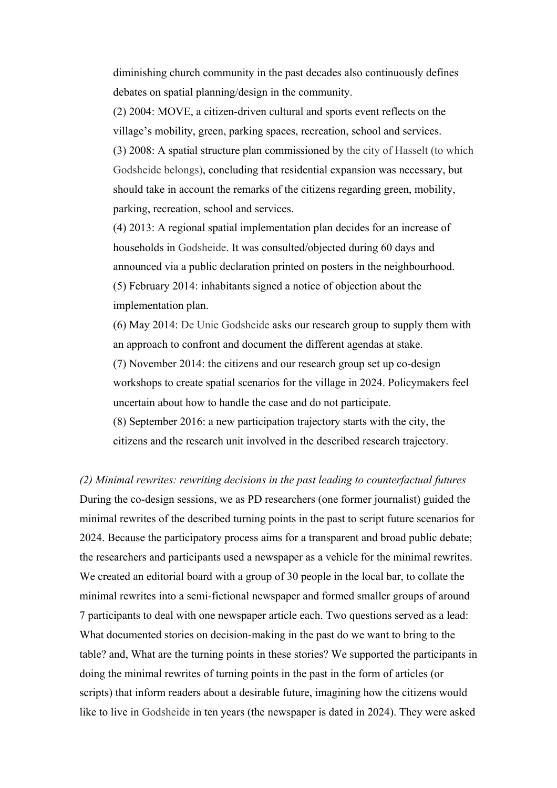diminishing church community in the past decades also continuously defines debates on spatial planning/design in the community.

(2) 2004: MOVE, a citizen-driven cultural and sports event reflects on the village's mobility, green, parking spaces, recreation, school and services. (3) 2008: A spatial structure plan commissioned by the city of Hasselt (to which Godsheide belongs), concluding that residential expansion was necessary, but should take in account the remarks of the citizens regarding green, mobility, parking, recreation, school and services.

(4) 2013: A regional spatial implementation plan decides for an increase of households in Godsheide. It was consulted/objected during 60 days and announced via a public declaration printed on posters in the neighbourhood. (5) February 2014: inhabitants signed a notice of objection about the implementation plan.

(6) May 2014: De Unie Godsheide asks our research group to supply them with an approach to confront and document the different agendas at stake.

(7) November 2014: the citizens and our research group set up co-design workshops to create spatial scenarios for the village in 2024. Policymakers feel uncertain about how to handle the case and do not participate.

(8) September 2016: a new participation trajectory starts with the city, the citizens and the research unit involved in the described research trajectory.

*(2) Minimal rewrites: rewriting decisions in the past leading to counterfactual futures* During the co-design sessions, we as PD researchers (one former journalist) guided the minimal rewrites of the described turning points in the past to script future scenarios for 2024. Because the participatory process aims for a transparent and broad public debate; the researchers and participants used a newspaper as a vehicle for the minimal rewrites. We created an editorial board with a group of 30 people in the local bar, to collate the minimal rewrites into a semi-fictional newspaper and formed smaller groups of around 7 participants to deal with one newspaper article each. Two questions served as a lead: What documented stories on decision-making in the past do we want to bring to the table? and, What are the turning points in these stories? We supported the participants in doing the minimal rewrites of turning points in the past in the form of articles (or scripts) that inform readers about a desirable future, imagining how the citizens would like to live in Godsheide in ten years (the newspaper is dated in 2024). They were asked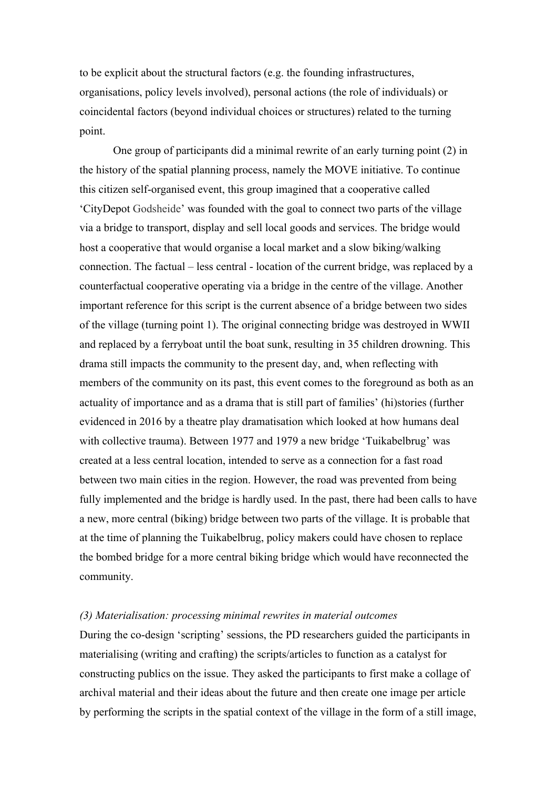to be explicit about the structural factors (e.g. the founding infrastructures, organisations, policy levels involved), personal actions (the role of individuals) or coincidental factors (beyond individual choices or structures) related to the turning point.

One group of participants did a minimal rewrite of an early turning point (2) in the history of the spatial planning process, namely the MOVE initiative. To continue this citizen self-organised event, this group imagined that a cooperative called 'CityDepot Godsheide' was founded with the goal to connect two parts of the village via a bridge to transport, display and sell local goods and services. The bridge would host a cooperative that would organise a local market and a slow biking/walking connection. The factual – less central - location of the current bridge, was replaced by a counterfactual cooperative operating via a bridge in the centre of the village. Another important reference for this script is the current absence of a bridge between two sides of the village (turning point 1). The original connecting bridge was destroyed in WWII and replaced by a ferryboat until the boat sunk, resulting in 35 children drowning. This drama still impacts the community to the present day, and, when reflecting with members of the community on its past, this event comes to the foreground as both as an actuality of importance and as a drama that is still part of families' (hi)stories (further evidenced in 2016 by a theatre play dramatisation which looked at how humans deal with collective trauma). Between 1977 and 1979 a new bridge 'Tuikabelbrug' was created at a less central location, intended to serve as a connection for a fast road between two main cities in the region. However, the road was prevented from being fully implemented and the bridge is hardly used. In the past, there had been calls to have a new, more central (biking) bridge between two parts of the village. It is probable that at the time of planning the Tuikabelbrug, policy makers could have chosen to replace the bombed bridge for a more central biking bridge which would have reconnected the community.

#### *(3) Materialisation: processing minimal rewrites in material outcomes*

During the co-design 'scripting' sessions, the PD researchers guided the participants in materialising (writing and crafting) the scripts/articles to function as a catalyst for constructing publics on the issue. They asked the participants to first make a collage of archival material and their ideas about the future and then create one image per article by performing the scripts in the spatial context of the village in the form of a still image,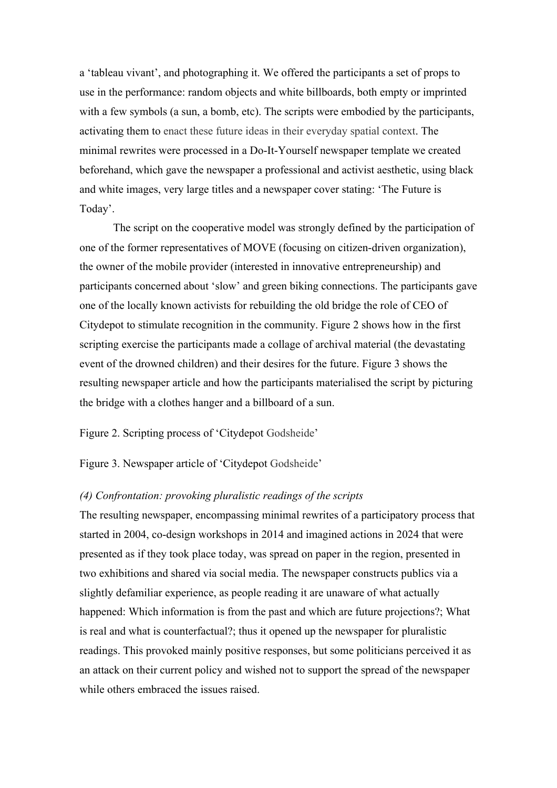a 'tableau vivant', and photographing it. We offered the participants a set of props to use in the performance: random objects and white billboards, both empty or imprinted with a few symbols (a sun, a bomb, etc). The scripts were embodied by the participants, activating them to enact these future ideas in their everyday spatial context. The minimal rewrites were processed in a Do-It-Yourself newspaper template we created beforehand, which gave the newspaper a professional and activist aesthetic, using black and white images, very large titles and a newspaper cover stating: 'The Future is Today'.

The script on the cooperative model was strongly defined by the participation of one of the former representatives of MOVE (focusing on citizen-driven organization), the owner of the mobile provider (interested in innovative entrepreneurship) and participants concerned about 'slow' and green biking connections. The participants gave one of the locally known activists for rebuilding the old bridge the role of CEO of Citydepot to stimulate recognition in the community. Figure 2 shows how in the first scripting exercise the participants made a collage of archival material (the devastating event of the drowned children) and their desires for the future. Figure 3 shows the resulting newspaper article and how the participants materialised the script by picturing the bridge with a clothes hanger and a billboard of a sun.

Figure 2. Scripting process of 'Citydepot Godsheide'

Figure 3. Newspaper article of 'Citydepot Godsheide'

#### *(4) Confrontation: provoking pluralistic readings of the scripts*

The resulting newspaper, encompassing minimal rewrites of a participatory process that started in 2004, co-design workshops in 2014 and imagined actions in 2024 that were presented as if they took place today, was spread on paper in the region, presented in two exhibitions and shared via social media. The newspaper constructs publics via a slightly defamiliar experience, as people reading it are unaware of what actually happened: Which information is from the past and which are future projections?; What is real and what is counterfactual?; thus it opened up the newspaper for pluralistic readings. This provoked mainly positive responses, but some politicians perceived it as an attack on their current policy and wished not to support the spread of the newspaper while others embraced the issues raised.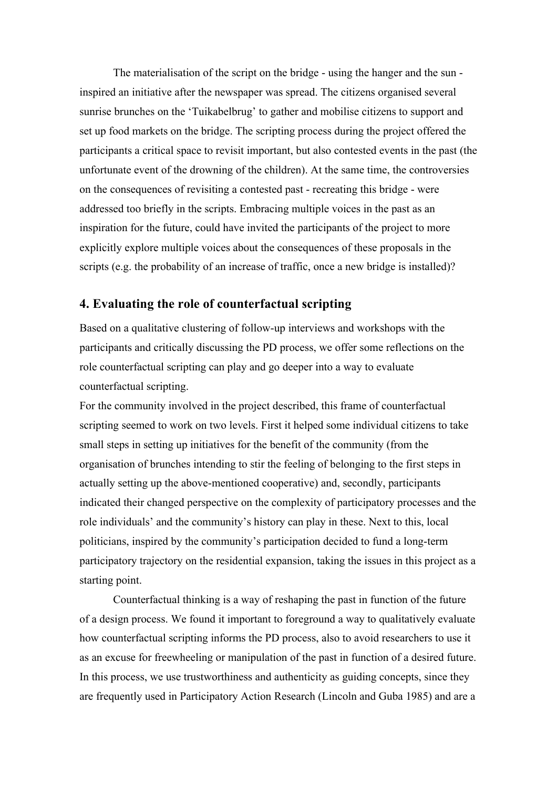The materialisation of the script on the bridge - using the hanger and the sun inspired an initiative after the newspaper was spread. The citizens organised several sunrise brunches on the 'Tuikabelbrug' to gather and mobilise citizens to support and set up food markets on the bridge. The scripting process during the project offered the participants a critical space to revisit important, but also contested events in the past (the unfortunate event of the drowning of the children). At the same time, the controversies on the consequences of revisiting a contested past - recreating this bridge - were addressed too briefly in the scripts. Embracing multiple voices in the past as an inspiration for the future, could have invited the participants of the project to more explicitly explore multiple voices about the consequences of these proposals in the scripts (e.g. the probability of an increase of traffic, once a new bridge is installed)?

## **4. Evaluating the role of counterfactual scripting**

Based on a qualitative clustering of follow-up interviews and workshops with the participants and critically discussing the PD process, we offer some reflections on the role counterfactual scripting can play and go deeper into a way to evaluate counterfactual scripting.

For the community involved in the project described, this frame of counterfactual scripting seemed to work on two levels. First it helped some individual citizens to take small steps in setting up initiatives for the benefit of the community (from the organisation of brunches intending to stir the feeling of belonging to the first steps in actually setting up the above-mentioned cooperative) and, secondly, participants indicated their changed perspective on the complexity of participatory processes and the role individuals' and the community's history can play in these. Next to this, local politicians, inspired by the community's participation decided to fund a long-term participatory trajectory on the residential expansion, taking the issues in this project as a starting point.

Counterfactual thinking is a way of reshaping the past in function of the future of a design process. We found it important to foreground a way to qualitatively evaluate how counterfactual scripting informs the PD process, also to avoid researchers to use it as an excuse for freewheeling or manipulation of the past in function of a desired future. In this process, we use trustworthiness and authenticity as guiding concepts, since they are frequently used in Participatory Action Research (Lincoln and Guba 1985) and are a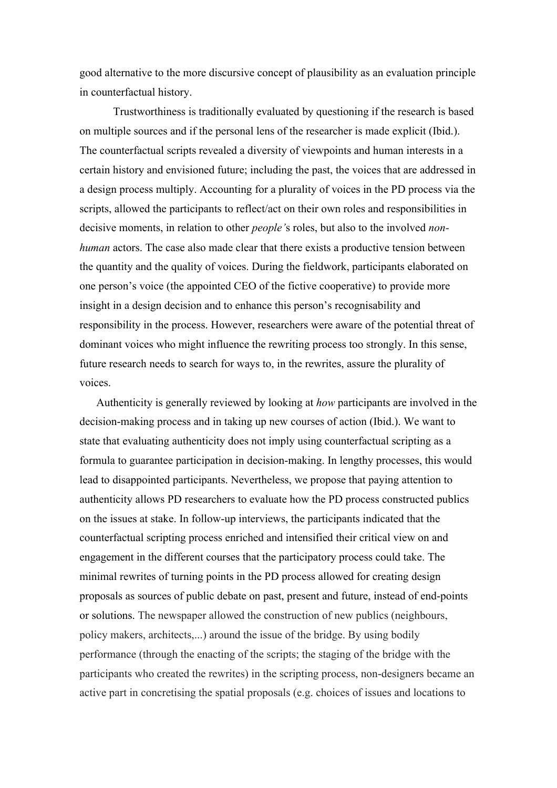good alternative to the more discursive concept of plausibility as an evaluation principle in counterfactual history.

Trustworthiness is traditionally evaluated by questioning if the research is based on multiple sources and if the personal lens of the researcher is made explicit (Ibid.). The counterfactual scripts revealed a diversity of viewpoints and human interests in a certain history and envisioned future; including the past, the voices that are addressed in a design process multiply. Accounting for a plurality of voices in the PD process via the scripts, allowed the participants to reflect/act on their own roles and responsibilities in decisive moments, in relation to other *people'*s roles, but also to the involved *nonhuman* actors. The case also made clear that there exists a productive tension between the quantity and the quality of voices. During the fieldwork, participants elaborated on one person's voice (the appointed CEO of the fictive cooperative) to provide more insight in a design decision and to enhance this person's recognisability and responsibility in the process. However, researchers were aware of the potential threat of dominant voices who might influence the rewriting process too strongly. In this sense, future research needs to search for ways to, in the rewrites, assure the plurality of voices.

Authenticity is generally reviewed by looking at *how* participants are involved in the decision-making process and in taking up new courses of action (Ibid.). We want to state that evaluating authenticity does not imply using counterfactual scripting as a formula to guarantee participation in decision-making. In lengthy processes, this would lead to disappointed participants. Nevertheless, we propose that paying attention to authenticity allows PD researchers to evaluate how the PD process constructed publics on the issues at stake. In follow-up interviews, the participants indicated that the counterfactual scripting process enriched and intensified their critical view on and engagement in the different courses that the participatory process could take. The minimal rewrites of turning points in the PD process allowed for creating design proposals as sources of public debate on past, present and future, instead of end-points or solutions. The newspaper allowed the construction of new publics (neighbours, policy makers, architects,...) around the issue of the bridge. By using bodily performance (through the enacting of the scripts; the staging of the bridge with the participants who created the rewrites) in the scripting process, non-designers became an active part in concretising the spatial proposals (e.g. choices of issues and locations to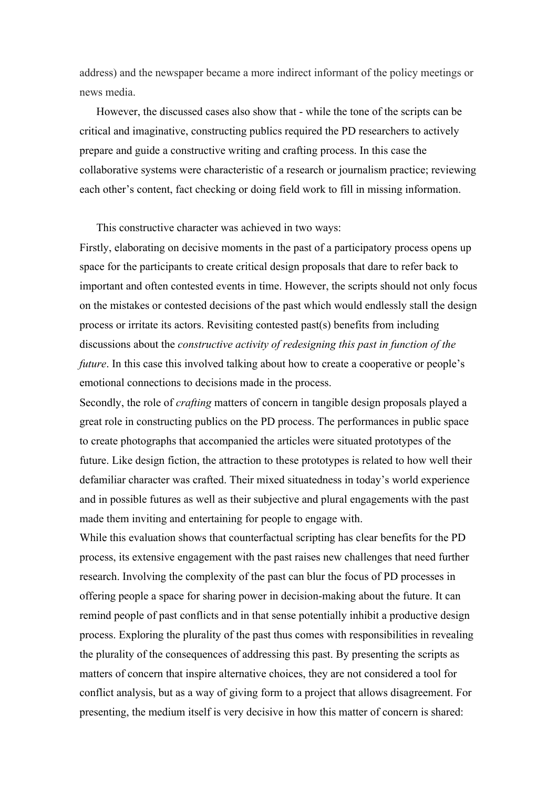address) and the newspaper became a more indirect informant of the policy meetings or news media.

However, the discussed cases also show that - while the tone of the scripts can be critical and imaginative, constructing publics required the PD researchers to actively prepare and guide a constructive writing and crafting process. In this case the collaborative systems were characteristic of a research or journalism practice; reviewing each other's content, fact checking or doing field work to fill in missing information.

This constructive character was achieved in two ways:

Firstly, elaborating on decisive moments in the past of a participatory process opens up space for the participants to create critical design proposals that dare to refer back to important and often contested events in time. However, the scripts should not only focus on the mistakes or contested decisions of the past which would endlessly stall the design process or irritate its actors. Revisiting contested past(s) benefits from including discussions about the *constructive activity of redesigning this past in function of the future*. In this case this involved talking about how to create a cooperative or people's emotional connections to decisions made in the process.

Secondly, the role of *crafting* matters of concern in tangible design proposals played a great role in constructing publics on the PD process. The performances in public space to create photographs that accompanied the articles were situated prototypes of the future. Like design fiction, the attraction to these prototypes is related to how well their defamiliar character was crafted. Their mixed situatedness in today's world experience and in possible futures as well as their subjective and plural engagements with the past made them inviting and entertaining for people to engage with.

While this evaluation shows that counterfactual scripting has clear benefits for the PD process, its extensive engagement with the past raises new challenges that need further research. Involving the complexity of the past can blur the focus of PD processes in offering people a space for sharing power in decision-making about the future. It can remind people of past conflicts and in that sense potentially inhibit a productive design process. Exploring the plurality of the past thus comes with responsibilities in revealing the plurality of the consequences of addressing this past. By presenting the scripts as matters of concern that inspire alternative choices, they are not considered a tool for conflict analysis, but as a way of giving form to a project that allows disagreement. For presenting, the medium itself is very decisive in how this matter of concern is shared: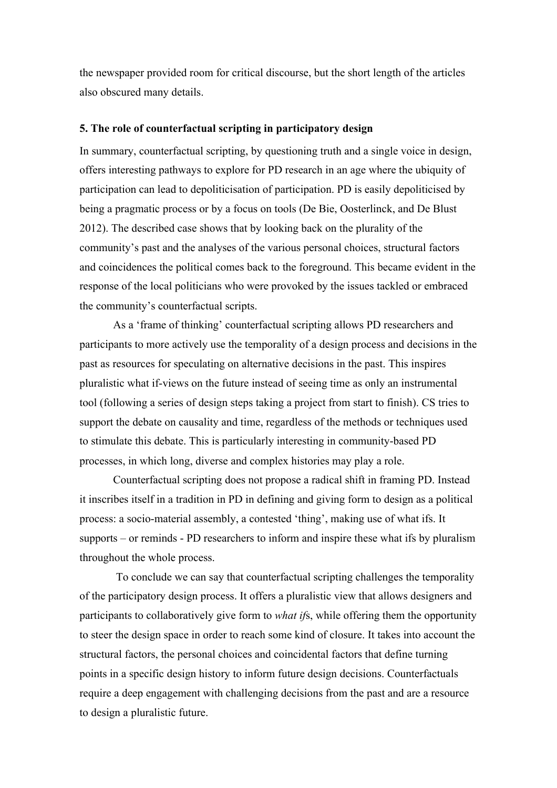the newspaper provided room for critical discourse, but the short length of the articles also obscured many details.

#### **5. The role of counterfactual scripting in participatory design**

In summary, counterfactual scripting, by questioning truth and a single voice in design, offers interesting pathways to explore for PD research in an age where the ubiquity of participation can lead to depoliticisation of participation. PD is easily depoliticised by being a pragmatic process or by a focus on tools (De Bie, Oosterlinck, and De Blust 2012). The described case shows that by looking back on the plurality of the community's past and the analyses of the various personal choices, structural factors and coincidences the political comes back to the foreground. This became evident in the response of the local politicians who were provoked by the issues tackled or embraced the community's counterfactual scripts.

As a 'frame of thinking' counterfactual scripting allows PD researchers and participants to more actively use the temporality of a design process and decisions in the past as resources for speculating on alternative decisions in the past. This inspires pluralistic what if-views on the future instead of seeing time as only an instrumental tool (following a series of design steps taking a project from start to finish). CS tries to support the debate on causality and time, regardless of the methods or techniques used to stimulate this debate. This is particularly interesting in community-based PD processes, in which long, diverse and complex histories may play a role.

Counterfactual scripting does not propose a radical shift in framing PD. Instead it inscribes itself in a tradition in PD in defining and giving form to design as a political process: a socio-material assembly, a contested 'thing', making use of what ifs. It supports – or reminds - PD researchers to inform and inspire these what ifs by pluralism throughout the whole process.

To conclude we can say that counterfactual scripting challenges the temporality of the participatory design process. It offers a pluralistic view that allows designers and participants to collaboratively give form to *what if*s, while offering them the opportunity to steer the design space in order to reach some kind of closure. It takes into account the structural factors, the personal choices and coincidental factors that define turning points in a specific design history to inform future design decisions. Counterfactuals require a deep engagement with challenging decisions from the past and are a resource to design a pluralistic future.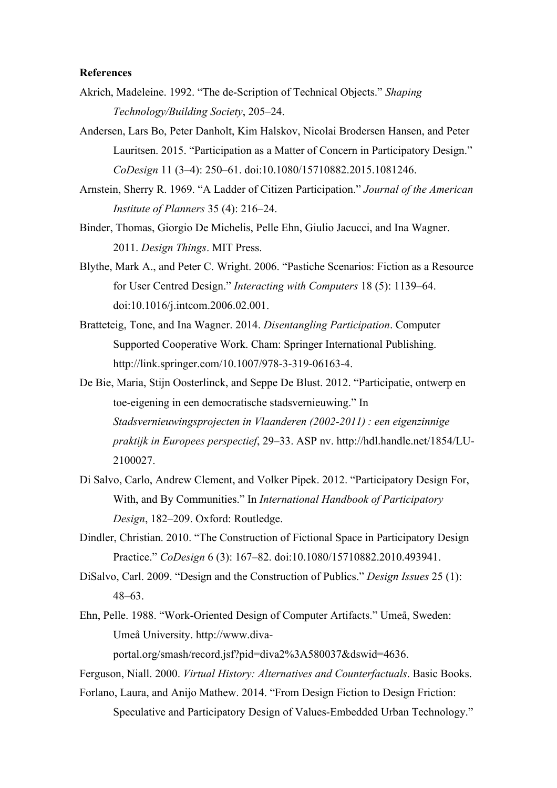#### **References**

- Akrich, Madeleine. 1992. "The de-Scription of Technical Objects." *Shaping Technology/Building Society*, 205–24.
- Andersen, Lars Bo, Peter Danholt, Kim Halskov, Nicolai Brodersen Hansen, and Peter Lauritsen. 2015. "Participation as a Matter of Concern in Participatory Design." *CoDesign* 11 (3–4): 250–61. doi:10.1080/15710882.2015.1081246.
- Arnstein, Sherry R. 1969. "A Ladder of Citizen Participation." *Journal of the American Institute of Planners* 35 (4): 216–24.
- Binder, Thomas, Giorgio De Michelis, Pelle Ehn, Giulio Jacucci, and Ina Wagner. 2011. *Design Things*. MIT Press.
- Blythe, Mark A., and Peter C. Wright. 2006. "Pastiche Scenarios: Fiction as a Resource for User Centred Design." *Interacting with Computers* 18 (5): 1139–64. doi:10.1016/j.intcom.2006.02.001.
- Bratteteig, Tone, and Ina Wagner. 2014. *Disentangling Participation*. Computer Supported Cooperative Work. Cham: Springer International Publishing. http://link.springer.com/10.1007/978-3-319-06163-4.
- De Bie, Maria, Stijn Oosterlinck, and Seppe De Blust. 2012. "Participatie, ontwerp en toe-eigening in een democratische stadsvernieuwing." In *Stadsvernieuwingsprojecten in Vlaanderen (2002-2011) : een eigenzinnige praktijk in Europees perspectief*, 29–33. ASP nv. http://hdl.handle.net/1854/LU-2100027.
- Di Salvo, Carlo, Andrew Clement, and Volker Pipek. 2012. "Participatory Design For, With, and By Communities." In *International Handbook of Participatory Design*, 182–209. Oxford: Routledge.
- Dindler, Christian. 2010. "The Construction of Fictional Space in Participatory Design Practice." *CoDesign* 6 (3): 167–82. doi:10.1080/15710882.2010.493941.
- DiSalvo, Carl. 2009. "Design and the Construction of Publics." *Design Issues* 25 (1): 48–63.
- Ehn, Pelle. 1988. "Work-Oriented Design of Computer Artifacts." Umeå, Sweden: Umeå University. http://www.diva-

portal.org/smash/record.jsf?pid=diva2%3A580037&dswid=4636.

Ferguson, Niall. 2000. *Virtual History: Alternatives and Counterfactuals*. Basic Books.

Forlano, Laura, and Anijo Mathew. 2014. "From Design Fiction to Design Friction: Speculative and Participatory Design of Values-Embedded Urban Technology."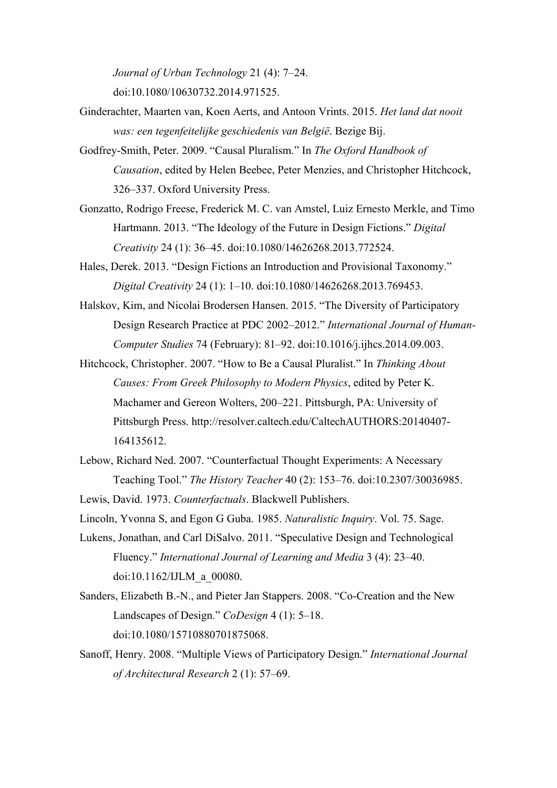*Journal of Urban Technology* 21 (4): 7–24. doi:10.1080/10630732.2014.971525.

- Ginderachter, Maarten van, Koen Aerts, and Antoon Vrints. 2015. *Het land dat nooit was: een tegenfeitelijke geschiedenis van België*. Bezige Bij.
- Godfrey-Smith, Peter. 2009. "Causal Pluralism." In *The Oxford Handbook of Causation*, edited by Helen Beebee, Peter Menzies, and Christopher Hitchcock, 326–337. Oxford University Press.
- Gonzatto, Rodrigo Freese, Frederick M. C. van Amstel, Luiz Ernesto Merkle, and Timo Hartmann. 2013. "The Ideology of the Future in Design Fictions." *Digital Creativity* 24 (1): 36–45. doi:10.1080/14626268.2013.772524.
- Hales, Derek. 2013. "Design Fictions an Introduction and Provisional Taxonomy." *Digital Creativity* 24 (1): 1–10. doi:10.1080/14626268.2013.769453.
- Halskov, Kim, and Nicolai Brodersen Hansen. 2015. "The Diversity of Participatory Design Research Practice at PDC 2002–2012." *International Journal of Human-Computer Studies* 74 (February): 81–92. doi:10.1016/j.ijhcs.2014.09.003.
- Hitchcock, Christopher. 2007. "How to Be a Causal Pluralist." In *Thinking About Causes: From Greek Philosophy to Modern Physics*, edited by Peter K. Machamer and Gereon Wolters, 200–221. Pittsburgh, PA: University of Pittsburgh Press. http://resolver.caltech.edu/CaltechAUTHORS:20140407- 164135612.
- Lebow, Richard Ned. 2007. "Counterfactual Thought Experiments: A Necessary Teaching Tool." *The History Teacher* 40 (2): 153–76. doi:10.2307/30036985.
- Lewis, David. 1973. *Counterfactuals*. Blackwell Publishers.
- Lincoln, Yvonna S, and Egon G Guba. 1985. *Naturalistic Inquiry*. Vol. 75. Sage.
- Lukens, Jonathan, and Carl DiSalvo. 2011. "Speculative Design and Technological Fluency." *International Journal of Learning and Media* 3 (4): 23–40. doi:10.1162/IJLM\_a\_00080.
- Sanders, Elizabeth B.-N., and Pieter Jan Stappers. 2008. "Co-Creation and the New Landscapes of Design." *CoDesign* 4 (1): 5–18. doi:10.1080/15710880701875068.
- Sanoff, Henry. 2008. "Multiple Views of Participatory Design." *International Journal of Architectural Research* 2 (1): 57–69.